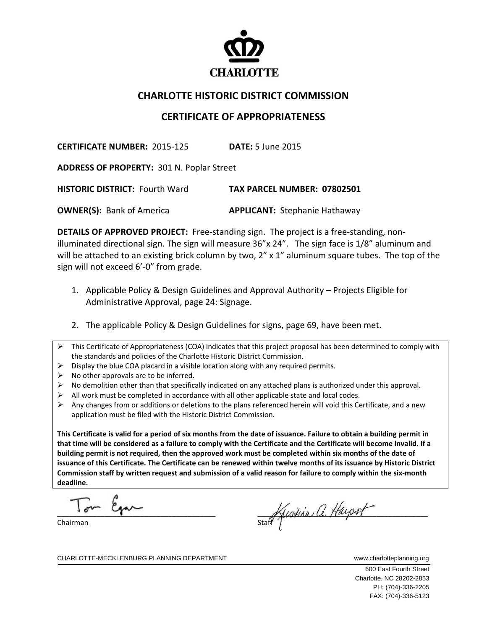

## **CHARLOTTE HISTORIC DISTRICT COMMISSION**

## **CERTIFICATE OF APPROPRIATENESS**

**CERTIFICATE NUMBER:** 2015‐125 **DATE:** 5 June 2015

**ADDRESS OF PROPERTY:** 301 N. Poplar Street

**HISTORIC DISTRICT:** Fourth Ward **TAX PARCEL NUMBER: 07802501**

**OWNER(S):** Bank of America **APPLICANT:** Stephanie Hathaway

**DETAILS OF APPROVED PROJECT:** Free‐standing sign. The project is a free‐standing, non‐ illuminated directional sign. The sign will measure 36"x 24". The sign face is 1/8" aluminum and will be attached to an existing brick column by two,  $2'' \times 1''$  aluminum square tubes. The top of the sign will not exceed 6'-0" from grade.

- 1. Applicable Policy & Design Guidelines and Approval Authority Projects Eligible for Administrative Approval, page 24: Signage.
- 2. The applicable Policy & Design Guidelines for signs, page 69, have been met.
- $\triangleright$  This Certificate of Appropriateness (COA) indicates that this project proposal has been determined to comply with the standards and policies of the Charlotte Historic District Commission.
- $\triangleright$  Display the blue COA placard in a visible location along with any required permits.
- $\triangleright$  No other approvals are to be inferred.
- $\triangleright$  No demolition other than that specifically indicated on any attached plans is authorized under this approval.
- $\triangleright$  All work must be completed in accordance with all other applicable state and local codes.
- $\triangleright$  Any changes from or additions or deletions to the plans referenced herein will void this Certificate, and a new application must be filed with the Historic District Commission.

This Certificate is valid for a period of six months from the date of issuance. Failure to obtain a building permit in that time will be considered as a failure to comply with the Certificate and the Certificate will become invalid. If a building permit is not required, then the approved work must be completed within six months of the date of issuance of this Certificate. The Certificate can be renewed within twelve months of its issuance by Historic District Commission staff by written request and submission of a valid reason for failure to comply within the six-month **deadline.**

 $\overline{a}$  $T_{\text{max}}$   $\beta_{\text{max}}$ 

Chairman

stant Kustina a Hayset

CHARLOTTE-MECKLENBURG PLANNING DEPARTMENT WWWW.charlotteplanning.org

 600 East Fourth Street Charlotte, NC 28202-2853

 PH: (704)-336-2205 FAX: (704)-336-5123